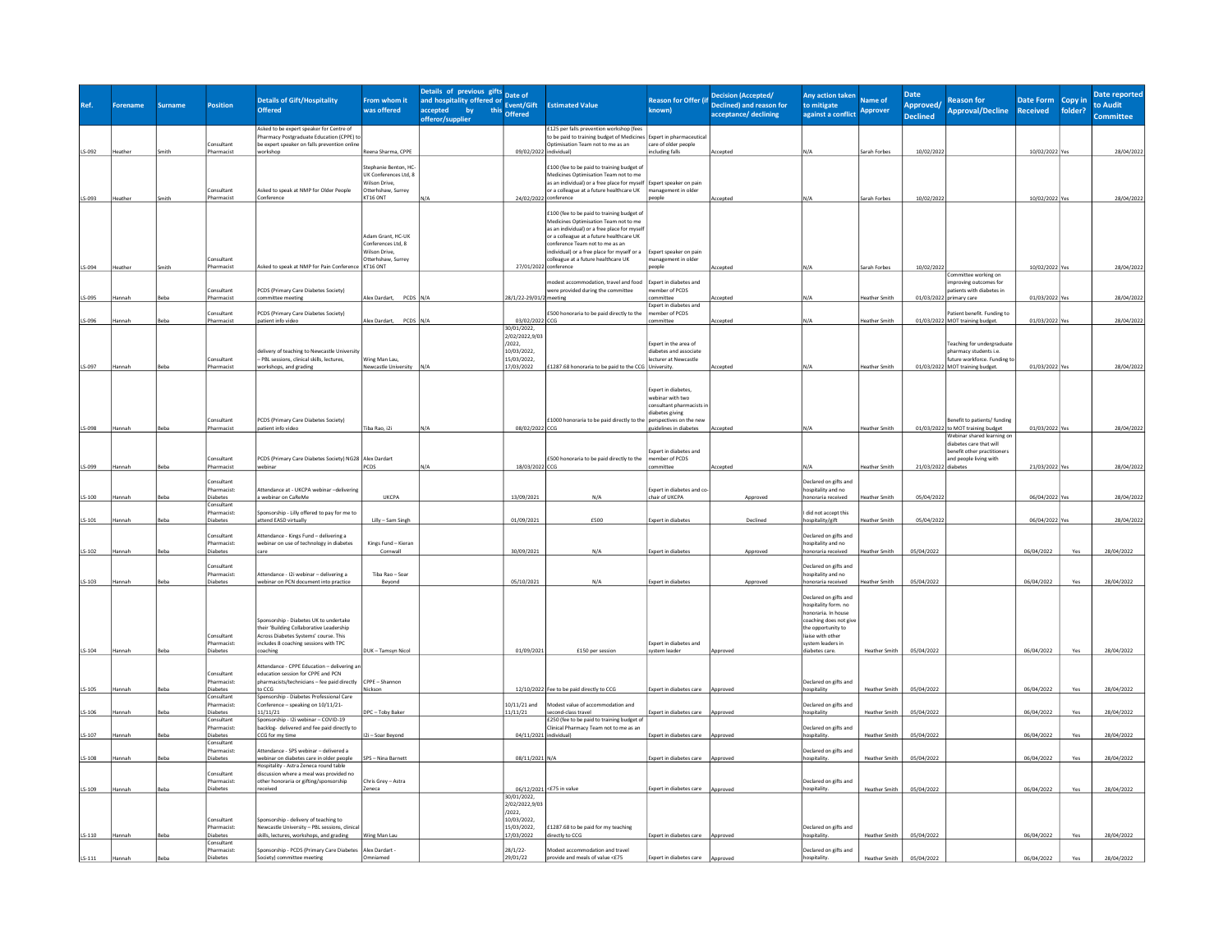|          | <b>Forename</b> | <b>Surname</b> | Position                       | <b>Details of Gift/Hospitality</b>                                                      | From whom it                                 | Details of previous gifts<br>and hospitality offered or<br>this Event/Gift |                               | <b>Estimated Value</b>                                                                                          | <b>Reason for Offer (if</b>                   | <b>Decision (Accepted/</b><br>Declined) and reason for | Any action taken<br>to mitigate               | Name of              | <b>Date</b><br>Approved/ | <b>Reason for</b>                                               | Date Form<br>Copy in       | Date reported<br>to Audit |
|----------|-----------------|----------------|--------------------------------|-----------------------------------------------------------------------------------------|----------------------------------------------|----------------------------------------------------------------------------|-------------------------------|-----------------------------------------------------------------------------------------------------------------|-----------------------------------------------|--------------------------------------------------------|-----------------------------------------------|----------------------|--------------------------|-----------------------------------------------------------------|----------------------------|---------------------------|
|          |                 |                |                                | <b>Offered</b>                                                                          | was offered                                  | accepted by this offered<br>offeror/supplier                               |                               |                                                                                                                 | known)                                        | acceptance/ declining                                  | against a conflict                            | <b>Approver</b>      | <b>Declined</b>          | <b>Approval/Decline</b>                                         | <b>Received</b><br>folder? | <b>Committee</b>          |
|          |                 |                |                                | Asked to be expert speaker for Centre of<br>Pharmacy Postgraduate Education (CPPE) to   |                                              |                                                                            |                               | £125 per falls prevention workshop (fees<br>to be paid to training budget of Medicines                          | Expert in pharmaceutica                       |                                                        |                                               |                      |                          |                                                                 |                            |                           |
|          | leather         |                | consultant<br>Pharmacist       | be expert speaker on falls prevention onlin<br>workshop                                 | Reena Sharma, CPPE                           |                                                                            |                               | Optimisation Team not to me as an<br>individual)                                                                | care of older people<br>including falls       |                                                        |                                               |                      |                          |                                                                 |                            |                           |
| LS-092   |                 |                |                                |                                                                                         |                                              |                                                                            | 09/02/2022                    |                                                                                                                 |                                               | Accepted                                               |                                               | Sarah Forbes         | 10/02/202                |                                                                 | 10/02/2022 Ye              | 28/04/2022                |
|          |                 |                |                                |                                                                                         | tephanie Benton, HC<br>UK Conferences Ltd, 8 |                                                                            |                               | £100 (fee to be paid to training budget of<br>Medicines Optimisation Team not to me                             |                                               |                                                        |                                               |                      |                          |                                                                 |                            |                           |
|          |                 |                | Consultant                     | Asked to speak at NMP for Older People                                                  | Vilson Drive,<br>Otterhshaw, Surrey          |                                                                            |                               | as an individual) or a free place for myself Expert speaker on pain<br>or a colleague at a future healthcare UK | management in older                           |                                                        |                                               |                      |                          |                                                                 |                            |                           |
| LS-093   | leathe          |                | harmacis                       | :onference                                                                              | KT16 ONT                                     |                                                                            | 24/02/2022 conference         |                                                                                                                 | eople                                         | Accepte                                                |                                               | Sarah Forbes         | 10/02/2023               |                                                                 | 10/02/2022 Yes             | 28/04/2022                |
|          |                 |                |                                |                                                                                         |                                              |                                                                            |                               | £100 (fee to be paid to training budget of                                                                      |                                               |                                                        |                                               |                      |                          |                                                                 |                            |                           |
|          |                 |                |                                |                                                                                         |                                              |                                                                            |                               | Medicines Optimisation Team not to me<br>as an individual) or a free place for myse                             |                                               |                                                        |                                               |                      |                          |                                                                 |                            |                           |
|          |                 |                |                                |                                                                                         | Adam Grant, HC-UK<br>Conferences Ltd, 8      |                                                                            |                               | or a colleague at a future healthcare UK<br>conference Team not to me as an                                     |                                               |                                                        |                                               |                      |                          |                                                                 |                            |                           |
|          |                 |                | onsultant                      |                                                                                         | Wilson Drive,<br>Otterhshaw, Surrey          |                                                                            |                               | individual) or a free place for myself or a<br>colleague at a future healthcare UK                              | Expert speaker on pain<br>anagement in older  |                                                        |                                               |                      |                          |                                                                 |                            |                           |
| LS-094   | leather         |                | Pharmacist                     | Asked to speak at NMP for Pain Conference                                               | KT16 ONT                                     |                                                                            |                               | 27/01/2022 conference                                                                                           | eople                                         | ccepted                                                |                                               | Sarah Forbes         | 10/02/2022               | Committee working on                                            | 10/02/2022 Yes             | 28/04/2022                |
|          |                 |                | onsultant                      | PCDS (Primary Care Diabetes Society)                                                    |                                              |                                                                            |                               | nodest accommodation, travel and food<br>were provided during the committee                                     | Expert in diabetes and<br>ember of PCDS       |                                                        |                                               |                      |                          | improving outcomes for<br>patients with diabetes in             |                            |                           |
| LS-095   | anna            | Reha           | harmacis                       | ommittee meeting                                                                        | Alex Dardart,<br>PCDS N/A                    |                                                                            | 28/1/22-29/01/2 meeting       |                                                                                                                 | committee                                     | ccepted                                                |                                               | Heather Smith        | 01/03/202                | primary care                                                    | 01/03/2022                 | 28/04/2022                |
|          |                 |                | onsultant                      | PCDS (Primary Care Diabetes Society)                                                    |                                              |                                                                            |                               | £500 honoraria to be paid directly to the                                                                       | Expert in diabetes and<br>ember of PCDS       |                                                        |                                               |                      |                          | Patient benefit. Funding to                                     |                            |                           |
| LS-096   | lannah          | Beba           | Pharmacist                     | patient info video                                                                      | Alex Dardart, PCDS N/A                       |                                                                            | 03/02/2022 CCG<br>30/01/2022, |                                                                                                                 | ommittee                                      | Accepted                                               |                                               | Heather Smith        |                          | 01/03/2022 MOT training budget.                                 | 01/03/2022 Yes             | 28/04/2022                |
|          |                 |                |                                |                                                                                         |                                              |                                                                            | 2/02/2022,9/03<br>/2022,      |                                                                                                                 | Expert in the area of                         |                                                        |                                               |                      |                          | Teaching for undergraduate                                      |                            |                           |
|          |                 |                | onsultant                      | lelivery of teaching to Newcastle Universit<br>PBL sessions, clinical skills, lectures, | Ving Man Lau,                                |                                                                            | 10/03/2022,<br>15/03/2022,    |                                                                                                                 | diabetes and associate<br>cturer at Newcastle |                                                        |                                               |                      |                          | pharmacy students i.e.<br>future workforce. Funding to          |                            |                           |
| LS-097   | lannah          |                | harmacis                       | vorkshops, and grading                                                                  | Vewcastle University N/A                     |                                                                            | 17/03/2022                    | £1287.68 honoraria to be paid to the CCG University.                                                            |                                               | <b>Accepted</b>                                        |                                               | Heather Smith        |                          | 01/03/2022 MOT training budget.                                 | 01/03/2022 Yes             | 28/04/2022                |
|          |                 |                |                                |                                                                                         |                                              |                                                                            |                               |                                                                                                                 |                                               |                                                        |                                               |                      |                          |                                                                 |                            |                           |
|          |                 |                |                                |                                                                                         |                                              |                                                                            |                               |                                                                                                                 | Expert in diabetes,<br>webinar with two       |                                                        |                                               |                      |                          |                                                                 |                            |                           |
|          |                 |                |                                |                                                                                         |                                              |                                                                            |                               |                                                                                                                 | consultant pharmacists<br>diabetes giving     |                                                        |                                               |                      |                          |                                                                 |                            |                           |
|          |                 |                | Consultant<br>Pharmacist       | PCDS (Primary Care Diabetes Society)<br>patient info video                              | iba Rao, i2i                                 |                                                                            |                               | £1000 honoraria to be paid directly to the perspectives on the new                                              |                                               |                                                        |                                               |                      |                          | Benefit to patients/ funding                                    |                            |                           |
| LS-098   | lannal          |                |                                |                                                                                         |                                              |                                                                            | 08/02/2022 CCG                |                                                                                                                 | tuidelines in diabetes                        | Accepted                                               |                                               | Heather Smith        |                          | 01/03/2022 to MOT training budget<br>Webinar shared learning or | 01/03/2022 Ye              | 28/04/2022                |
|          |                 |                |                                |                                                                                         |                                              |                                                                            |                               |                                                                                                                 | Expert in diabetes and                        |                                                        |                                               |                      |                          | diabetes care that will<br>benefit other practitioners          |                            |                           |
| LS-099   | lannah          | <b>Beba</b>    | onsultant<br>Pharmacist        | PCDS (Primary Care Diabetes Society) NG28 Alex Dardart<br>webinar                       | <b>PCDS</b>                                  |                                                                            | 18/03/2022 CCG                | £500 honoraria to be paid directly to the                                                                       | nember of PCDS<br>mmittee                     | Accepted                                               |                                               | Heather Smith        | 21/03/2022 diabetes      | and people living with                                          | 21/03/2022 Yes             | 28/04/2022                |
|          |                 |                | onsultant                      |                                                                                         |                                              |                                                                            |                               |                                                                                                                 |                                               |                                                        | eclared on gifts and                          |                      |                          |                                                                 |                            |                           |
|          |                 |                | harmacist                      | Attendance at - UKCPA webinar -- delivering                                             | <b>UKCPA</b>                                 |                                                                            |                               | N/A                                                                                                             | Expert in diabetes and co                     |                                                        | ospitality and no                             | leather Smith        |                          |                                                                 |                            |                           |
| $LS-100$ | annal           |                | iabetes<br>nsultan             | webinar on CaReMe                                                                       |                                              |                                                                            | 13/09/2021                    |                                                                                                                 | chair of UKCPA                                | Approved                                               | onoraria received                             |                      | 05/04/2022               |                                                                 | 06/04/2022 Ye              | 28/04/2022                |
| $LS-101$ |                 |                | harmacist:<br>iabetes          | nsorship - Lilly offered to pay for me to<br>ttend EASD virtually                       | Lilly - Sam Singh                            |                                                                            | 01/09/2021                    | £500                                                                                                            | Expert in diabete                             | Decline                                                | did not accept this<br>spitality/gift         | eather Smith         | 05/04/202                |                                                                 | 06/04/2022                 | 28/04/2022                |
|          |                 |                | onsultant                      | Attendance - Kings Fund - delivering a                                                  |                                              |                                                                            |                               |                                                                                                                 |                                               |                                                        | eclared on gifts and                          |                      |                          |                                                                 |                            |                           |
| $LS-102$ | annah           |                | harmarist<br>ahetes            | webinar on use of technology in diabetes                                                | Kings Fund - Kieran<br>Cornwall              |                                                                            | 30/09/2021                    | N/A                                                                                                             | <b>Expert in diabetes</b>                     | Approved                                               | ospitality and no<br>noraria received         | ather Smith          | 05/04/2022               |                                                                 | 06/04/2022<br>Yes          | 28/04/2022                |
|          |                 |                | onsultant                      |                                                                                         |                                              |                                                                            |                               |                                                                                                                 |                                               |                                                        | eclared on gifts and                          |                      |                          |                                                                 |                            |                           |
|          |                 |                | Pharmacist:                    | Attendance - I2i webinar - delivering a                                                 | Tiba Rao - Soar                              |                                                                            |                               |                                                                                                                 |                                               |                                                        | hospitality and no                            |                      |                          |                                                                 |                            |                           |
| LS-103   | lannah          |                | iabetes                        | vebinar on PCN document into practice                                                   | Beyond                                       |                                                                            | 05/10/2021                    | N/A                                                                                                             | <b>Expert in diabetes</b>                     | Approved                                               | onoraria received                             | leather Smith        | 05/04/2022               |                                                                 | 06/04/2022<br>Yes          | 28/04/2022                |
|          |                 |                |                                |                                                                                         |                                              |                                                                            |                               |                                                                                                                 |                                               |                                                        | eclared on gifts and<br>hospitality form, no  |                      |                          |                                                                 |                            |                           |
|          |                 |                |                                | Sponsorship - Diabetes UK to undertake                                                  |                                              |                                                                            |                               |                                                                                                                 |                                               |                                                        | honoraria. In house<br>coaching does not give |                      |                          |                                                                 |                            |                           |
|          |                 |                | Consultant                     | their 'Building Collaborative Leadership<br>Across Diabetes Systems' course. This       |                                              |                                                                            |                               |                                                                                                                 |                                               |                                                        | the opportunity to<br>liaise with other       |                      |                          |                                                                 |                            |                           |
|          |                 |                | Pharmacist:                    | ncludes 8 coaching sessions with TPC                                                    |                                              |                                                                            |                               |                                                                                                                 | Expert in diabetes and                        |                                                        | system leaders in                             |                      |                          |                                                                 |                            |                           |
| $LS-104$ | łannah          | Beba           | liabetes                       | paching                                                                                 | DUK - Tamsyn Nicol                           |                                                                            | 01/09/202                     | £150 per session                                                                                                | system leader                                 | Approver                                               | liabetes care                                 | <b>Heather Smith</b> | 05/04/2022               |                                                                 | 06/04/2022<br>Yes          | 28/04/2022                |
|          |                 |                | onsultant                      | Attendance - CPPE Education - delivering a<br>education session for CPPE and PCN        |                                              |                                                                            |                               |                                                                                                                 |                                               |                                                        |                                               |                      |                          |                                                                 |                            |                           |
| $LS-105$ | lannal          |                | Pharmacist:<br><b>liahetes</b> | pharmacists/technicians - fee paid directly<br>to CCG                                   | CPPE - Shannon<br>Nickson                    |                                                                            |                               | 12/10/2022 Fee to be paid directly to CCG                                                                       | Expert in diabetes care                       | Approve                                                | Declared on gifts and<br>hospitality          | Heather Smith        | 05/04/2022               |                                                                 | 06/04/2022                 | 28/04/2022                |
|          |                 |                | onsultant<br>harmacist:        | Spensorship - Diabetes Professional Care<br>Conference - speaking on 10/11/21-          |                                              |                                                                            | 10/11/21 and                  | lodest value of accommodation and                                                                               |                                               |                                                        | eclared on gifts and                          |                      |                          |                                                                 |                            |                           |
| LS-106   |                 |                | <b>liahetes</b>                | 11/11/21                                                                                | DPC - Toby Baker                             |                                                                            | 11/11/21                      | cond-class travel                                                                                               | Expert in diabetes care                       | <b><i>Loorover</i></b>                                 | venitalit                                     | <b>Heather Smith</b> | 05/04/2022               |                                                                 | 06/04/2022<br>Yes          | 28/04/2022                |
|          |                 |                | Consultant<br>harmacist:       | Sponsorship - I2i webinar - COVID-19<br>backlog- delivered and fee paid directly to     |                                              |                                                                            |                               | £250 (fee to be paid to training budget of<br>Clinical Pharmacy Team not to me as an                            |                                               |                                                        | eclared on gifts and                          |                      |                          |                                                                 |                            |                           |
| LS-107   | annah           | Reha           | Diabetes<br>Consultant         | CCG for my time                                                                         | 12i - Soar Beyond                            |                                                                            | 04/11/202                     | individual)                                                                                                     | Expert in diabetes care                       | Approved                                               | hospitality                                   | <b>Heather Smith</b> | 05/04/2022               |                                                                 | 06/04/2022<br>Yes          | 28/04/2022                |
| LS-108   | lannah          |                | harmacist<br>iabetes           | Attendance - SPS webinar - delivered a<br>webinar on diabetes care in older people      | SPS - Nina Barnett                           |                                                                            | 08/11/2021 N/A                |                                                                                                                 | Expert in diabetes care                       | Approved                                               | eclared on gifts and<br>hospitality.          | <b>Heather Smith</b> | 05/04/2022               |                                                                 | 06/04/2022<br>Yes          | 28/04/2022                |
|          |                 |                | onsultant                      | Hospitality - Astra Zeneca round table<br>discussion where a meal was provided no       |                                              |                                                                            |                               |                                                                                                                 |                                               |                                                        |                                               |                      |                          |                                                                 |                            |                           |
|          |                 |                | harmacist                      | other honoraria or gifting/sponsorship                                                  | hris Grey - Astra                            |                                                                            |                               |                                                                                                                 |                                               |                                                        | eclared on gifts and                          |                      |                          |                                                                 |                            |                           |
| LS-109   | annal           |                | liabetes                       | eceived                                                                                 | eneca                                        |                                                                            | 30/01/2022,                   | 06/12/2021 <£75 in value                                                                                        | Expert in diabetes care                       | Approved                                               | iospitality                                   | <b>Heather Smith</b> | 05/04/2022               |                                                                 | 06/04/2022<br>Yes          | 28/04/2022                |
|          |                 |                |                                |                                                                                         |                                              |                                                                            | 2/02/2022,9/03<br>/2022,      |                                                                                                                 |                                               |                                                        |                                               |                      |                          |                                                                 |                            |                           |
|          |                 |                | onsultant<br>Pharmacist:       | Sponsorship - delivery of teaching to<br>Vewcastle University - PBL sessions, clinica   |                                              |                                                                            | 10/03/2022.<br>15/03/2022.    |                                                                                                                 |                                               |                                                        |                                               |                      |                          |                                                                 |                            |                           |
| $LS-110$ | lannal          |                | <b>Nahetes</b>                 | kills, lectures, workshops, and grading                                                 | Wing Man Lau                                 |                                                                            | 17/03/2022                    | £1287.68 to be paid for my teaching<br>directly to CCG                                                          | Expert in diabetes care                       | Approved                                               | Declared on gifts and<br>hospitality          | Heather Smith        | 05/04/2022               |                                                                 | 06/04/2022<br>Yes          | 28/04/2022                |
|          |                 |                | consultant<br>Pharmacist:      | Sponsorship - PCDS (Primary Care Diabetes                                               | Alex Dardart                                 |                                                                            | 28/1/22-                      | lodest accommodation and travel                                                                                 |                                               |                                                        | Declared on gifts and                         |                      |                          |                                                                 |                            |                           |
| $LS-111$ | lannah          |                | Diabetes                       | Society) committee meeting                                                              | Imniamed                                     |                                                                            | 29/01/22                      | provide and meals of value <£75                                                                                 | Expert in diabetes care                       | Approved                                               | hospitality                                   | <b>Heather Smith</b> | 05/04/2022               |                                                                 | 06/04/2022<br>Yes          | 28/04/2022                |